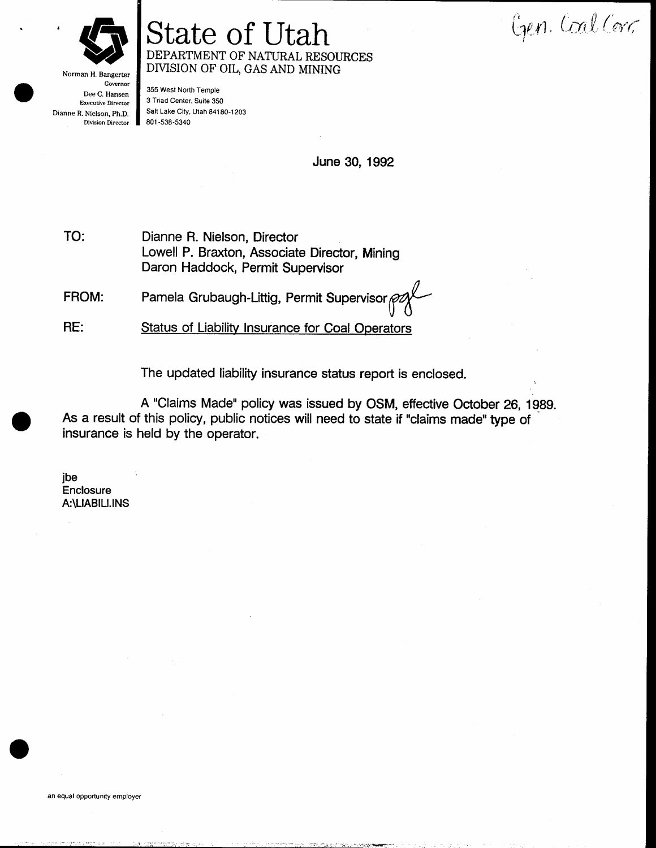Norman H. Bangerter

## State of Utah DEPARTMENT OF NATURAL RESOURCES DMSION OF OIL, GAS AND MINING

Gen. Coal Corr

Governor Dee C. Hansen Executive Director Dianne R. Nielson, Ph.D. Division Director

355 West North Temple 3 Triad Center, Suite 350 Salt Lake City, Utah 84180-1203 801 -s38-5340

June 30, 1 992

Dianne R. Nielson, Director Lowell P. Braxton, Associate Director, Mining Daron Haddock, Permit Supervisor TO:

FROM: Pamela Grubaugh-Littig, Permit Supervisor

RE: Status of Liability Insurance for Coal Operators

The updated liability insurance status report is enclosed.

A "Claims Made" policy was issued by OSM, etfective October 26, 1g8g. As a result of this policy, public notices will need to state if "claims made" type of insurance is held by the operator.

jbe **Enclosure** A:\LIABIU.lNS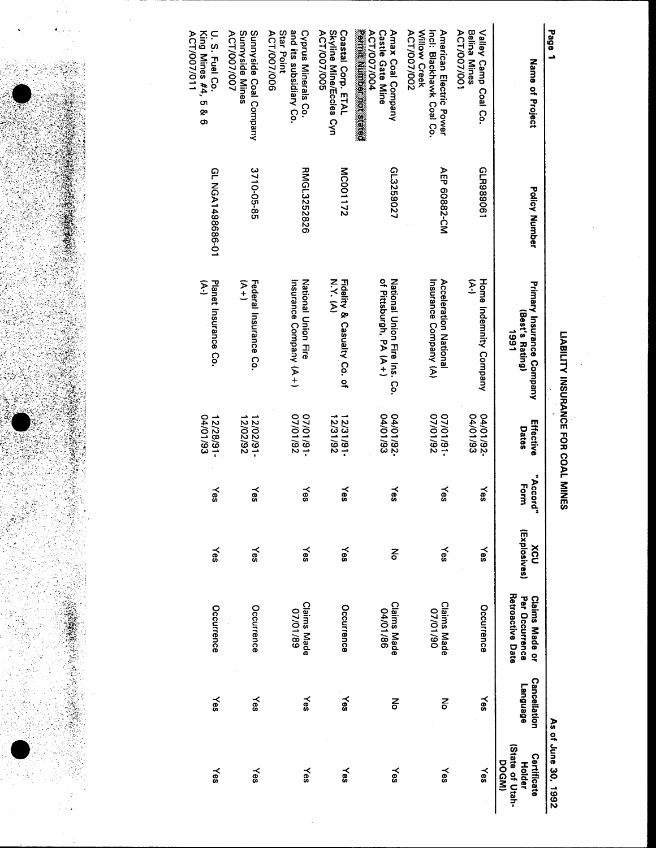

 $\cdot$ 

## LIABILITY INSURANCE FOR COAL MINES

| Page 1                                                                                    |                      |                                                        |                          |                      |                     |                                                             |                                        | As of June 30, 1992                                      |
|-------------------------------------------------------------------------------------------|----------------------|--------------------------------------------------------|--------------------------|----------------------|---------------------|-------------------------------------------------------------|----------------------------------------|----------------------------------------------------------|
| Name of Project                                                                           | <b>Policy Number</b> | Primary Insurance Company<br>(Best's Rating)<br>1991   | Effective<br>Dates       | "Accord<br>Form<br>7 | (Explosives)<br>XCU | Retroactive Date<br>Per Occurrence<br><b>Claims Made or</b> | <b>Cancellation</b><br><b>Language</b> | (State of Utah-<br>Certificate<br>DOGM)<br><b>Holder</b> |
| <b>Belina Mines</b><br>Valley Camp Coal Co.<br>ACT/007/001                                | GLR989061            | E<br>Home Indernity Company                            | 04/01/93<br>-26/101/04   | ≻es                  | γes                 | Occurrence                                                  | Yes                                    | Yes                                                      |
| Willow Creek<br>Incl: Blackhawk Coal Co.<br>American Electric Power<br><b>ACT/007/002</b> | AEP 60882-CM         | Insurance Company (A)<br>Acceleration National         | 26/10/20<br>-16/10/20    | γes                  | γes                 | <b>Claims Made</b><br>02/10/20                              | 종                                      | Yes                                                      |
| <b>Permitted Monday</b><br>ACT/007/004<br><b>Castle Gate Mine</b><br>Amax Coal Company    | GL3259027            | of Pittsburgh, PA (A+)<br>National Union Fire Ins. Co. | 04/01/93<br>-26/101/04   | ≿es                  | 종                   | <b>Claims Made</b><br>04/01/86                              | 중                                      | Yes                                                      |
| Skyline Mine/Eccles Cyn<br>Coastal Corp. ETAL<br>ACT/007/005                              | <b>MC001172</b>      | N.Y. (A)<br>Fidelity & Casualty Co. of                 | 12/31/92<br>$-18/181$    | Yes                  | ≿es                 | Occurrence                                                  | Yes                                    | ≿es                                                      |
| and its subsidiary Co.<br>Star Point<br>Cyprus Minerals Co.<br>ACT/007/006                | RMGL3252826          | <b>National Union Fire</b><br>Insurance Company (A+)   | 26/10/20<br>$-16/10/20$  | γes                  | Yes                 | <b>Claims Made</b><br>07/01/89                              | ≫s                                     | Yes                                                      |
| Sunnyside Mines<br>Sunryside Coal Company<br><b>ACT/007/007</b>                           | 3710-05-85           | てト<br>ナ<br>Federal Insurance Co.                       | 12/02/92<br>2/02/91      | Yes                  | ≿es                 | Occurrence                                                  | Yes                                    | Yes                                                      |
| King Mines #4, 5 & 6<br>U. S. Fuel Co.<br><b>ACT/007/011</b>                              | CL NGA1498686-01     | Planet Insurance Co.<br>E                              | 04/01/93<br>$12/28/91 -$ | Yes                  | Yes                 | Occurrence                                                  | ≿es                                    | ≿es                                                      |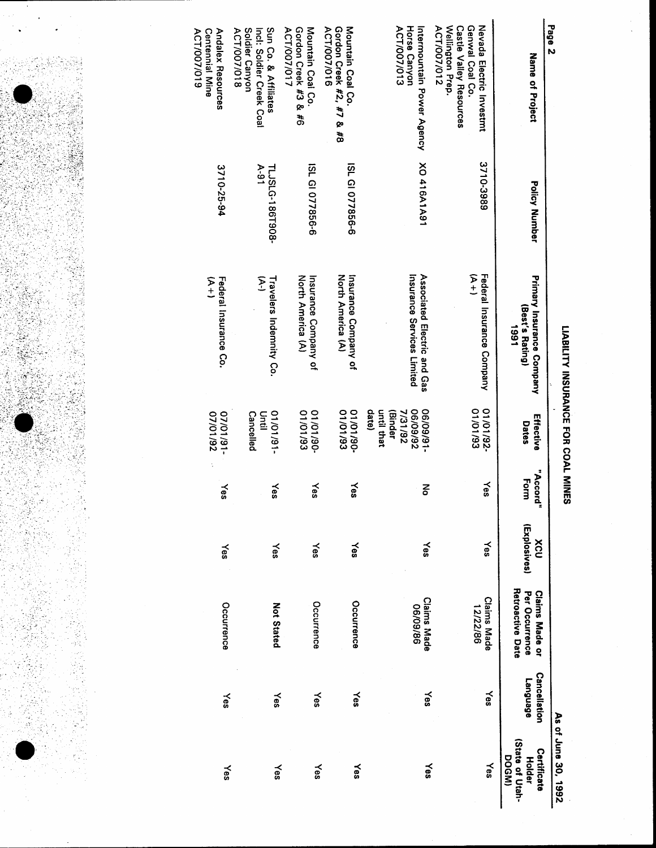|                                                                                                                  |                           | LIABILITY INSURANCE FOR COAL MINES                          |                                                                    |                  |                     |                                                                    |                                        | As of June 30, 1992                               |
|------------------------------------------------------------------------------------------------------------------|---------------------------|-------------------------------------------------------------|--------------------------------------------------------------------|------------------|---------------------|--------------------------------------------------------------------|----------------------------------------|---------------------------------------------------|
| Page 2<br>Name of Project                                                                                        | Policy Number             | <b>Primary Insurance Company</b><br>(Best's Rating)<br>1661 | Effective<br>Dates                                                 | "Accord"<br>Form | (Explosives)<br>XCV | <b>Retroactive Date</b><br>Per Occurrence<br><b>Claims Made or</b> | <b>Cancellation</b><br><b>Language</b> | (State of Utah-<br>Certificate<br>DOGM)<br>Holder |
| Wellington Prep.<br>Nevada Electric Investmt<br><b>Castle Valley Resources</b><br>Genwal Coal Co.<br>ACT/007/012 | 3710-3989                 | Federal Insurance Company<br>$(4 +)$                        | <b>C6/10/10</b><br>01/01/92-                                       | Yes              | Yes                 | <b>Claims Made</b><br>12/22/86                                     | yes                                    | Yes                                               |
| ACT/007/013<br>Horse Canyon<br>Intermountain Power Agency                                                        | XO 416A1A91               | Associated Electric and Gas<br>Insurance Services Limited   | 06/09/92<br>-16/60/90<br>date)<br>7/31/92<br>until that<br>(Binder | 중                | $\times$            | <b>Claims Made</b><br>06/09/86                                     | Yes                                    | Yes                                               |
| Gordon Creek #2, #7 & #8<br>Mountain Coal Co.<br>ACT/007/016                                                     | ISL GI 077856-6           | Insurance Company of<br>North America (A)                   | 08/10/10<br>01/01/93                                               | Yes              | ≿es                 | Occurrence                                                         | Yes                                    | γes                                               |
| Gordon Creek #3 &<br>Mountain Coal Co.<br>ACT/007/017<br>3                                                       | ISL GI 077856-6           | North America (A)<br>Insurance Company of                   | 06/10/10<br>01/01/93                                               | $\approx$        | Yes                 | Occurrence                                                         | Yes                                    | ≿es                                               |
| Soldier Canyon<br>Sun Co. & Affiliates<br>ACT/007/018<br>Inci: Soldier Creek Coal                                | $A-91$<br>TLJSLG-186T908- | لي<br>ح<br>Travelers Indemnity Co.                          | -16/10/10<br><b>Cancelled</b><br>Until                             | Yes              | Yes                 | <b>Not Stated</b>                                                  | Yes                                    | Yes                                               |
| Andalex Resources<br>ACT/007/019<br><b>Centennial Mine</b>                                                       | 3710-25-94                | てトリ<br>ナ<br>Federal Insurance Co.                           | 26/10/20<br>-16/10/20                                              | Yes              | Yes                 | Occurrence                                                         | ≿es                                    | Yes                                               |

å,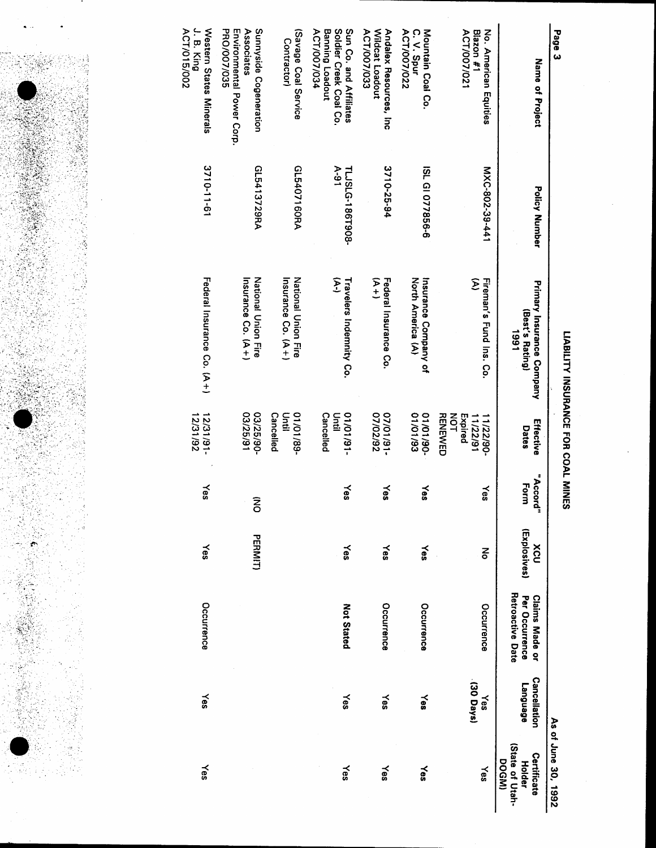

| Page 3                                                                             |                           |                                                      |                                                          |                  |                     |                                                                    |                                 | As of June 30, 1992                                     |
|------------------------------------------------------------------------------------|---------------------------|------------------------------------------------------|----------------------------------------------------------|------------------|---------------------|--------------------------------------------------------------------|---------------------------------|---------------------------------------------------------|
| Name of Project                                                                    | Policy Number             | Primary Insurance Company<br>(Best's Rating)<br>1661 | Effective<br>Dates                                       | "Accord"<br>Form | (Explosives)<br>XCV | <b>Retroactive Date</b><br>Per Occurrence<br><b>Claims Made or</b> | <b>Cancellation</b><br>ranguage | State of Utah-<br>Certificate<br>DOGMI<br><b>Holder</b> |
| No. American Equities<br>ACT/007/021<br>Blazon #1                                  | MXC-802-39-441            | Fireman's Fund Ins. Co.<br>E                         | <b>RENEWED</b><br>NOT<br>Expired<br>11/22/91<br>11/22/90 | Yes              | 종                   | Occurrence                                                         | (30 Days)<br>Yes                | Yes                                                     |
| ACT/007/022<br>C. V. Spur<br>Mountain Coal Co.                                     | ISL GI 077856-6           | North America (A)<br>Insurance Company of            | 01/01/93<br>$-06/10/10$                                  | $\approx$        | Yes                 | Occurrence                                                         | Yes                             | ≿es                                                     |
| Wildcat Loadout<br>ACT/007/033<br>Andalex Resources, Inc                           | 3710-25-94                | タナ<br>Federal Insurance Co.                          | 07/02/92<br>-16/10/20                                    | Yes              | Yes                 | Occurrence                                                         | Yes                             | Yes                                                     |
| Sun Co. and Affiliates<br>Soldier Creek Coal Co.<br>ACT/007/034<br>Banning Loadout | $A-91$<br>TLJSLG-186T908- | عج<br>Travelers Indemnity Co.                        | <b>Cancelled</b><br>$-16/10/10$<br>Until                 | γes              | Υes                 | <b>Not Stated</b>                                                  | Yes                             | Yes                                                     |
| (Savage Coal Service<br>Contractor)                                                | GL5407160RA               | Insurance Co. (A+)<br>National Union Fire            | <b>Cancelled</b><br>-68/10/10<br>Until                   |                  |                     |                                                                    |                                 |                                                         |
| Associates<br>Sunnyside Cogeneration<br>PRO/007/035<br>Environmental Power Corp.   | GL5413729RA               | Insurance Co. (A+)<br>National Critic                | 03/25/91<br>03/25/90                                     | ξ                | <b>PERMIT)</b>      |                                                                    |                                 |                                                         |
| $J. B.$ King<br>Western States Minerals<br>ACT/015/002                             | 3710-11-61                | Federal Insurance Co. (A+)                           | 12/31/92<br>15/31/91                                     | Yes              | Yes                 | Occurrence                                                         | Yes                             | Yes                                                     |

LIABILITY INSURANCE FOR COAL MINES

Page 3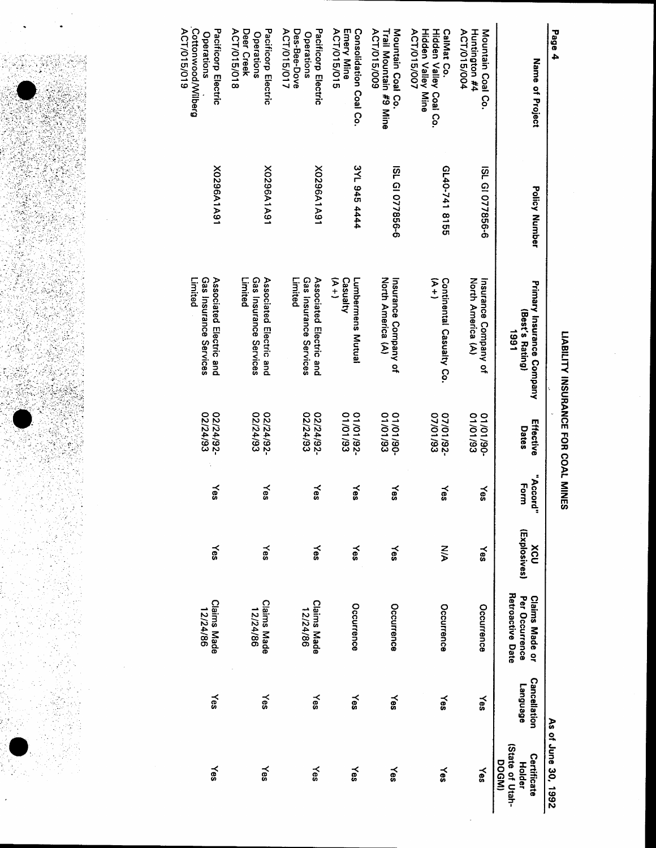LIABILITY INSURANCE FOR COAL MINES

Operations<br>Des-Bee-Dove Cottonwood/Wilberg ACT/015/018 ACT/015/015 Huntington #4 Page 4 ACT/015/019 Pacificorp Electric Deer Creek Pacificorp Electric ACT/015/017 Pacificorp Electric Emery Mine Consolidation Coal Co. Trail Mountain #9 Mine<br>ACT/015/009 Mountain Coal Co. **Hidden Valley Mine** Hidden Valley Coal Co. CalMat Co. ACT/015/004 **Operations ACT/015/007** Mountain Coal Co. Operations Name of Project 3YL 945 4444 G140-741 8155 X0296A1A91 Y0296A1A91 ISL GI 077856-6 ISL GI 077856-6 Y0296A1A91 **Policy Number** Gas Insurance Services Associated Electric and Gas Insurance Services Gas Insurance Services Casualty Lumbermens Mutual ヌキ North America (A) Limited Limited Associated Electric and Limited Associated Electric and  $\widetilde{r}$ Insurance Company of<br>North America (A) Continental Casualty Co. Insurance Company of Primary Insurance Company<br>(Best's Rating) 1661 02/24/92-<br>02/24/93-02/24/92-02/24/92-01/01/93 01/01/93 01/01/93 01/01/92-07/01/93 -26/10/20 Effective **Dates** "Accord" Form Yes Yes Yes Yes Yes Yes ≿es (Explosives) Yes XCU Yes ∕es Yes  $\times$ z<br>V Yes Per Occurrence Retroactive Date **Claims Made**<br>12/24/86 **Claims Made or** Claims Made<br>12/24/86 **Claims Made**<br>12/24/86 Occurrence Occurrence Occurrence Occurrence **Cancellation** p6en6ue<sub>7</sub> **Nes** Yes Yes Yes Yes ≿es γes As of June 30, 1992 (State of Utah-Certificate DOGM) **Holder** Yes ⊁es Yes Yes Yes Yes Yes

ÁK

(1)<br>1) (1) (1) (1) (1) (1) (1)<br>1) (1) (1) (1) (1) (1) (1)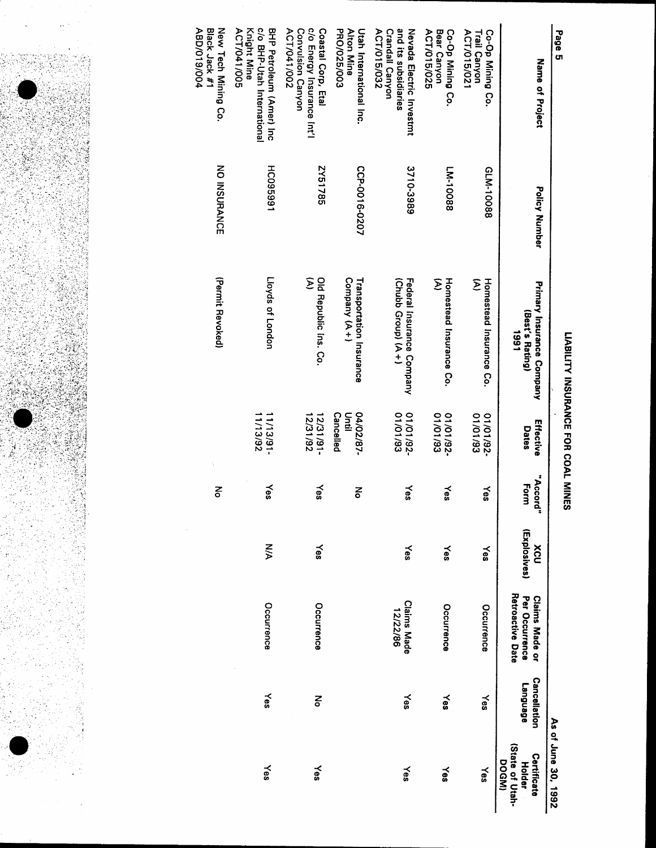

| Page 5                                                                               |                 |                                                      |                                |                  |                     |                                                             |                                        | As of June 30, 1992                                             |
|--------------------------------------------------------------------------------------|-----------------|------------------------------------------------------|--------------------------------|------------------|---------------------|-------------------------------------------------------------|----------------------------------------|-----------------------------------------------------------------|
| Name of Project                                                                      | Policy Number   | Primary Insurance Company<br>(Best's Rating)<br>1661 | Effective<br>Dates             | "Accord"<br>Form | (Explosives)<br>XCU | Retroactive Date<br>Per Occurrence<br><b>Claims Made or</b> | <b>Cancellation</b><br><b>Fabendue</b> | (State of Utah-<br>Certificate<br><b>DOGMI</b><br><b>Holder</b> |
| ACT/015/021<br>Co-Op Mining Co.<br><b>Trail Canyon</b>                               | GLM-10088       | Σ<br>Homestead Insurance Co.                         | 01/01/93<br>01/01/92-          | $\approx$        | Yes                 | Occurrence                                                  | Yes                                    | Yes                                                             |
| ACT/015/025<br>Bear Canyon<br>Co-Op Mining Co.                                       | FW-10088        | $\tilde{\mathcal{E}}$<br>Homestead Insurance Co.     | 01/01/93<br>26/10/10           | Yes              | Yes                 | Occurence                                                   | Yes                                    | Yes                                                             |
| and its subsidiaries<br>ACT/015/032<br>Nevada Electric Investmt<br>Crandall Canyon   | 3710-3989       | Federal Insurance Company<br>(Chubb Group) (A+)      | 01/01/92-<br>01/01/93          | Yes              | Yes                 | <b>Claims Made</b><br>12/22/86                              | Yes                                    | Yes                                                             |
| PRO/025/003<br><b>Alton Mine</b><br>Utah International Inc.                          | CCP-0016-0207   | Company (A+)<br>Transportation Insurance             | Cancelled<br>Drui<br>04/02/87- | 종                |                     |                                                             |                                        |                                                                 |
| c/o Energy Insurance Int'l<br>ACT/041/002<br>Convulsion Canyon<br>Coastal Corp, Etal | 2Y51785         | Σ<br>Old Republic Ins. Co.                           | 12/31/92<br>12/31/91-          | yes              | Yes                 | Occurrence                                                  | 종                                      | $\approx$                                                       |
| c/o BHP-Utah International<br>ACT/041/005<br>Knight Mine<br>BHP Petroleum (Amer) lnc | <b>HC095991</b> | Lloyds of London                                     | 1113/92<br>$-16/21/11$         | Yes              | $\frac{8}{3}$       | Occurrence                                                  | Yes                                    | Yes                                                             |
| ABD/019/004<br>New Tech Mining Co.<br>Black Jack #1                                  | NO INSURANCE    | (Permit Revoked)                                     |                                | š                |                     |                                                             |                                        |                                                                 |

 $\frac{1}{2}$ 

Î.